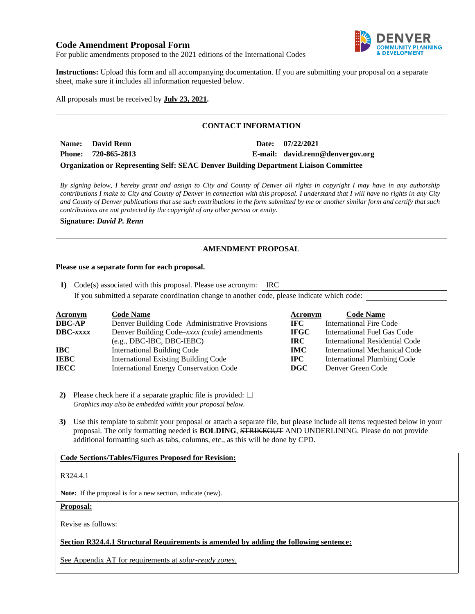# **Code Amendment Proposal Form**



For public amendments proposed to the 2021 editions of the International Codes

**Instructions:** Upload this form and all accompanying documentation. If you are submitting your proposal on a separate sheet, make sure it includes all information requested below.

All proposals must be received by **July 23, 2021.**

# **CONTACT INFORMATION**

**Name: David Renn Date: 07/22/2021 Phone: 720-865-2813 E-mail: david.renn@denvergov.org**

## **Organization or Representing Self: SEAC Denver Building Department Liaison Committee**

*By signing below, I hereby grant and assign to City and County of Denver all rights in copyright I may have in any authorship contributions I make to City and County of Denver in connection with this proposal. I understand that I will have no rights in any City and County of Denver publications that use such contributions in the form submitted by me or another similar form and certify that such contributions are not protected by the copyright of any other person or entity.* 

**Signature:** *David P. Renn*

## **AMENDMENT PROPOSAL**

#### **Please use a separate form for each proposal.**

**1)** Code(s) associated with this proposal. Please use acronym: IRC If you submitted a separate coordination change to another code, please indicate which code:

| <b>Acronym</b> | <b>Code Name</b>                               | Acronym     | <b>Code Name</b>                      |
|----------------|------------------------------------------------|-------------|---------------------------------------|
| <b>DBC-AP</b>  | Denver Building Code–Administrative Provisions | IFC.        | <b>International Fire Code</b>        |
| DBC-xxxx       | Denver Building Code–xxxx (code) amendments    | <b>IFGC</b> | International Fuel Gas Code           |
|                | $(e.g., DBC-IBC, DBC-IEBC)$                    | IRC.        | <b>International Residential Code</b> |
| IBC-           | <b>International Building Code</b>             | <b>IMC</b>  | <b>International Mechanical Code</b>  |
| IEBC           | <b>International Existing Building Code</b>    | $\bf IPC$   | <b>International Plumbing Code</b>    |
| IECC           | <b>International Energy Conservation Code</b>  | <b>DGC</b>  | Denver Green Code                     |

**2)** Please check here if a separate graphic file is provided:  $\Box$ *Graphics may also be embedded within your proposal below.*

**3)** Use this template to submit your proposal or attach a separate file, but please include all items requested below in your proposal. The only formatting needed is **BOLDING**, STRIKEOUT AND UNDERLINING. Please do not provide additional formatting such as tabs, columns, etc., as this will be done by CPD.

### **Code Sections/Tables/Figures Proposed for Revision:**

R324.4.1

**Note:** If the proposal is for a new section, indicate (new).

**Proposal:**

Revise as follows:

### **Section R324.4.1 Structural Requirements is amended by adding the following sentence:**

See Appendix AT for requirements at *solar-ready zones*.